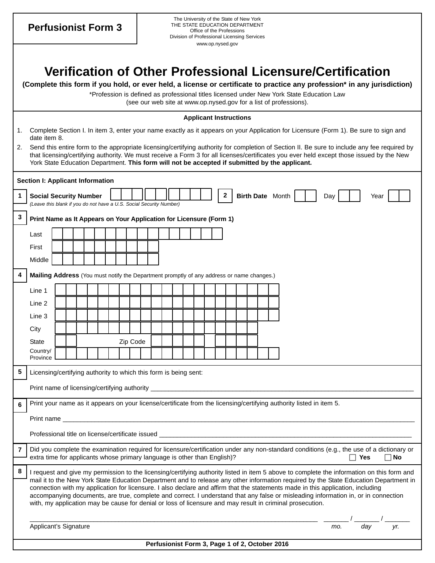**Perfusionist Form 3** 

## **Verification of Other Professional Licensure/Certification**

**(Complete this form if you hold, or ever held, a license or certificate to practice any profession\* in any jurisdiction)** 

\*Profession is defined as professional titles licensed under New York State Education Law (see our web site at www.op.nysed.gov for a list of professions).

|                                         | <b>Applicant Instructions</b>                                                                                                                                                                                                                                                                                                                                                                 |                                                                                                                                                      |  |  |  |  |  |  |  |  |  |  |  |  |  |  |  |  |                                                                                                                                                                                                                                                                                                                                                                                    |     |           |  |
|-----------------------------------------|-----------------------------------------------------------------------------------------------------------------------------------------------------------------------------------------------------------------------------------------------------------------------------------------------------------------------------------------------------------------------------------------------|------------------------------------------------------------------------------------------------------------------------------------------------------|--|--|--|--|--|--|--|--|--|--|--|--|--|--|--|--|------------------------------------------------------------------------------------------------------------------------------------------------------------------------------------------------------------------------------------------------------------------------------------------------------------------------------------------------------------------------------------|-----|-----------|--|
| 1.                                      |                                                                                                                                                                                                                                                                                                                                                                                               | Complete Section I. In item 3, enter your name exactly as it appears on your Application for Licensure (Form 1). Be sure to sign and<br>date item 8. |  |  |  |  |  |  |  |  |  |  |  |  |  |  |  |  |                                                                                                                                                                                                                                                                                                                                                                                    |     |           |  |
|                                         | 2. Send this entire form to the appropriate licensing/certifying authority for completion of Section II. Be sure to include any fee required by<br>that licensing/certifying authority. We must receive a Form 3 for all licenses/certificates you ever held except those issued by the New<br>York State Education Department. This form will not be accepted if submitted by the applicant. |                                                                                                                                                      |  |  |  |  |  |  |  |  |  |  |  |  |  |  |  |  |                                                                                                                                                                                                                                                                                                                                                                                    |     |           |  |
| <b>Section I: Applicant Information</b> |                                                                                                                                                                                                                                                                                                                                                                                               |                                                                                                                                                      |  |  |  |  |  |  |  |  |  |  |  |  |  |  |  |  |                                                                                                                                                                                                                                                                                                                                                                                    |     |           |  |
|                                         | $\mathbf{2}$<br>Birth Date Month<br><b>Social Security Number</b><br>Day<br>Year<br>(Leave this blank if you do not have a U.S. Social Security Number)                                                                                                                                                                                                                                       |                                                                                                                                                      |  |  |  |  |  |  |  |  |  |  |  |  |  |  |  |  |                                                                                                                                                                                                                                                                                                                                                                                    |     |           |  |
| 3                                       |                                                                                                                                                                                                                                                                                                                                                                                               | Print Name as It Appears on Your Application for Licensure (Form 1)                                                                                  |  |  |  |  |  |  |  |  |  |  |  |  |  |  |  |  |                                                                                                                                                                                                                                                                                                                                                                                    |     |           |  |
|                                         | Last                                                                                                                                                                                                                                                                                                                                                                                          |                                                                                                                                                      |  |  |  |  |  |  |  |  |  |  |  |  |  |  |  |  |                                                                                                                                                                                                                                                                                                                                                                                    |     |           |  |
|                                         | First                                                                                                                                                                                                                                                                                                                                                                                         |                                                                                                                                                      |  |  |  |  |  |  |  |  |  |  |  |  |  |  |  |  |                                                                                                                                                                                                                                                                                                                                                                                    |     |           |  |
|                                         | Middle                                                                                                                                                                                                                                                                                                                                                                                        |                                                                                                                                                      |  |  |  |  |  |  |  |  |  |  |  |  |  |  |  |  |                                                                                                                                                                                                                                                                                                                                                                                    |     |           |  |
|                                         |                                                                                                                                                                                                                                                                                                                                                                                               | Mailing Address (You must notify the Department promptly of any address or name changes.)                                                            |  |  |  |  |  |  |  |  |  |  |  |  |  |  |  |  |                                                                                                                                                                                                                                                                                                                                                                                    |     |           |  |
|                                         | Line 1                                                                                                                                                                                                                                                                                                                                                                                        |                                                                                                                                                      |  |  |  |  |  |  |  |  |  |  |  |  |  |  |  |  |                                                                                                                                                                                                                                                                                                                                                                                    |     |           |  |
|                                         | Line 2                                                                                                                                                                                                                                                                                                                                                                                        |                                                                                                                                                      |  |  |  |  |  |  |  |  |  |  |  |  |  |  |  |  |                                                                                                                                                                                                                                                                                                                                                                                    |     |           |  |
|                                         | Line 3                                                                                                                                                                                                                                                                                                                                                                                        |                                                                                                                                                      |  |  |  |  |  |  |  |  |  |  |  |  |  |  |  |  |                                                                                                                                                                                                                                                                                                                                                                                    |     |           |  |
|                                         | City                                                                                                                                                                                                                                                                                                                                                                                          |                                                                                                                                                      |  |  |  |  |  |  |  |  |  |  |  |  |  |  |  |  |                                                                                                                                                                                                                                                                                                                                                                                    |     |           |  |
|                                         | <b>State</b><br>Country/                                                                                                                                                                                                                                                                                                                                                                      | Zip Code                                                                                                                                             |  |  |  |  |  |  |  |  |  |  |  |  |  |  |  |  |                                                                                                                                                                                                                                                                                                                                                                                    |     |           |  |
|                                         | Province                                                                                                                                                                                                                                                                                                                                                                                      |                                                                                                                                                      |  |  |  |  |  |  |  |  |  |  |  |  |  |  |  |  |                                                                                                                                                                                                                                                                                                                                                                                    |     |           |  |
| 5                                       | Licensing/certifying authority to which this form is being sent:                                                                                                                                                                                                                                                                                                                              |                                                                                                                                                      |  |  |  |  |  |  |  |  |  |  |  |  |  |  |  |  |                                                                                                                                                                                                                                                                                                                                                                                    |     |           |  |
|                                         |                                                                                                                                                                                                                                                                                                                                                                                               |                                                                                                                                                      |  |  |  |  |  |  |  |  |  |  |  |  |  |  |  |  |                                                                                                                                                                                                                                                                                                                                                                                    |     |           |  |
| 6                                       |                                                                                                                                                                                                                                                                                                                                                                                               | Print your name as it appears on your license/certificate from the licensing/certifying authority listed in item 5.                                  |  |  |  |  |  |  |  |  |  |  |  |  |  |  |  |  |                                                                                                                                                                                                                                                                                                                                                                                    |     |           |  |
|                                         |                                                                                                                                                                                                                                                                                                                                                                                               | Print name                                                                                                                                           |  |  |  |  |  |  |  |  |  |  |  |  |  |  |  |  |                                                                                                                                                                                                                                                                                                                                                                                    |     |           |  |
|                                         |                                                                                                                                                                                                                                                                                                                                                                                               | Professional title on license/certificate issued                                                                                                     |  |  |  |  |  |  |  |  |  |  |  |  |  |  |  |  |                                                                                                                                                                                                                                                                                                                                                                                    |     |           |  |
| 7                                       |                                                                                                                                                                                                                                                                                                                                                                                               |                                                                                                                                                      |  |  |  |  |  |  |  |  |  |  |  |  |  |  |  |  | Did you complete the examination required for licensure/certification under any non-standard conditions (e.g., the use of a dictionary or                                                                                                                                                                                                                                          | Yes | $\Box$ No |  |
| 8                                       | extra time for applicants whose primary language is other than English)?<br>I request and give my permission to the licensing/certifying authority listed in item 5 above to complete the information on this form and                                                                                                                                                                        |                                                                                                                                                      |  |  |  |  |  |  |  |  |  |  |  |  |  |  |  |  |                                                                                                                                                                                                                                                                                                                                                                                    |     |           |  |
|                                         |                                                                                                                                                                                                                                                                                                                                                                                               |                                                                                                                                                      |  |  |  |  |  |  |  |  |  |  |  |  |  |  |  |  | mail it to the New York State Education Department and to release any other information required by the State Education Department in                                                                                                                                                                                                                                              |     |           |  |
|                                         |                                                                                                                                                                                                                                                                                                                                                                                               |                                                                                                                                                      |  |  |  |  |  |  |  |  |  |  |  |  |  |  |  |  | connection with my application for licensure. I also declare and affirm that the statements made in this application, including<br>accompanying documents, are true, complete and correct. I understand that any false or misleading information in, or in connection<br>with, my application may be cause for denial or loss of licensure and may result in criminal prosecution. |     |           |  |
|                                         |                                                                                                                                                                                                                                                                                                                                                                                               |                                                                                                                                                      |  |  |  |  |  |  |  |  |  |  |  |  |  |  |  |  |                                                                                                                                                                                                                                                                                                                                                                                    |     |           |  |
|                                         | Applicant's Signature<br>day<br>mo.<br>yr.                                                                                                                                                                                                                                                                                                                                                    |                                                                                                                                                      |  |  |  |  |  |  |  |  |  |  |  |  |  |  |  |  |                                                                                                                                                                                                                                                                                                                                                                                    |     |           |  |

## **Perfusionist Form 3, Page 1 of 2, October 2016**